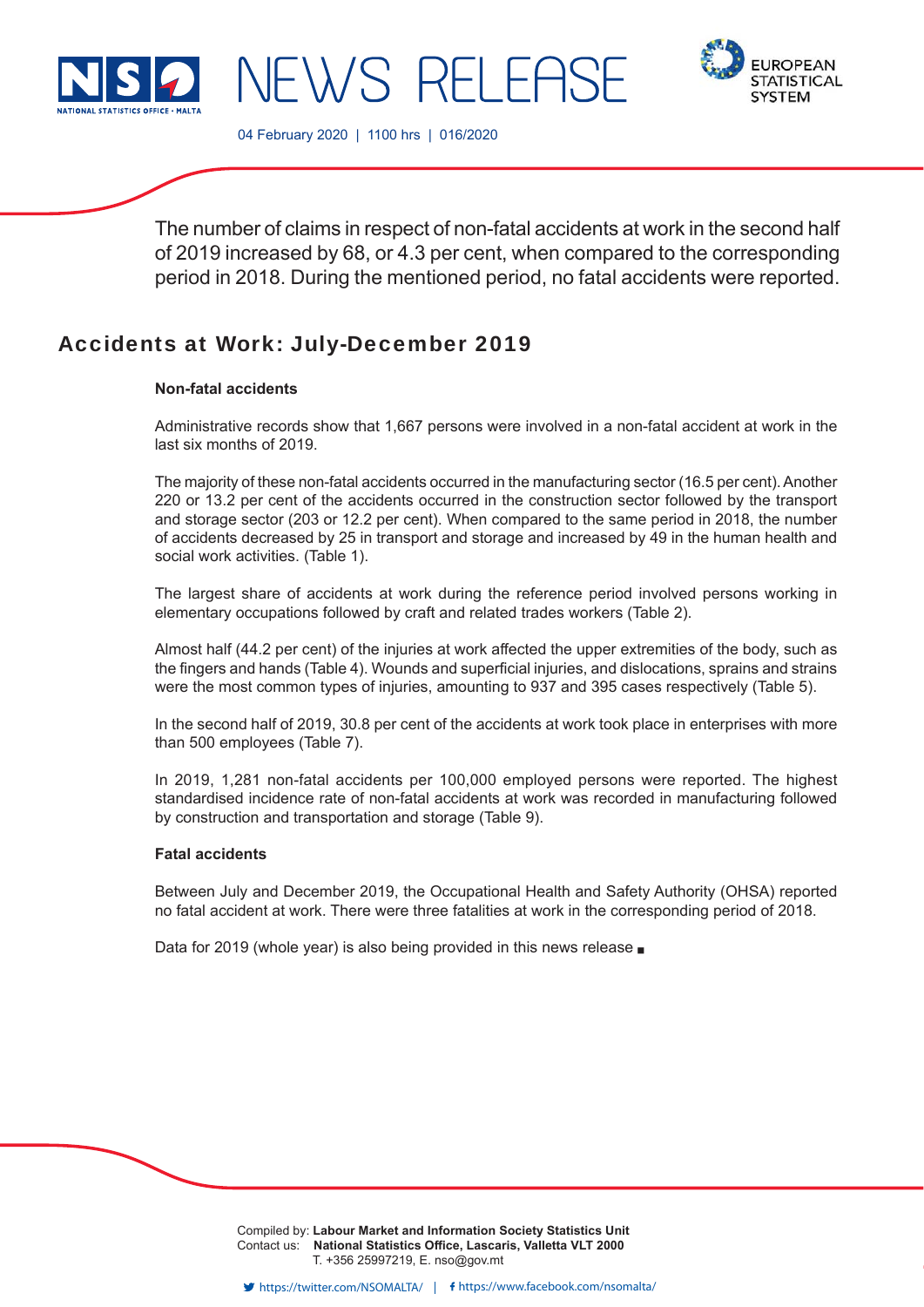



04 February 2020 | 1100 hrs | 016/2020

JEWS RELEAS

The number of claims in respect of non-fatal accidents at work in the second half of 2019 increased by 68, or 4.3 per cent, when compared to the corresponding period in 2018. During the mentioned period, no fatal accidents were reported.

# Accidents at Work: July-December 2019

# **Non-fatal accidents**

Administrative records show that 1,667 persons were involved in a non-fatal accident at work in the last six months of 2019.

The majority of these non-fatal accidents occurred in the manufacturing sector (16.5 per cent). Another 220 or 13.2 per cent of the accidents occurred in the construction sector followed by the transport and storage sector (203 or 12.2 per cent). When compared to the same period in 2018, the number of accidents decreased by 25 in transport and storage and increased by 49 in the human health and social work activities. (Table 1).

The largest share of accidents at work during the reference period involved persons working in elementary occupations followed by craft and related trades workers (Table 2).

Almost half (44.2 per cent) of the injuries at work affected the upper extremities of the body, such as the fingers and hands (Table 4). Wounds and superficial injuries, and dislocations, sprains and strains were the most common types of injuries, amounting to 937 and 395 cases respectively (Table 5).

In the second half of 2019, 30.8 per cent of the accidents at work took place in enterprises with more than 500 employees (Table 7).

In 2019, 1,281 non-fatal accidents per 100,000 employed persons were reported. The highest standardised incidence rate of non-fatal accidents at work was recorded in manufacturing followed by construction and transportation and storage (Table 9).

# **Fatal accidents**

Between July and December 2019, the Occupational Health and Safety Authority (OHSA) reported no fatal accident at work. There were three fatalities at work in the corresponding period of 2018.

Data for 2019 (whole year) is also being provided in this news release  $\blacksquare$ 

Compiled by: **Labour Market and Information Society Statistics Unit** Contact us: National Statistics Office, Lascaris, Valletta VLT 2000 T. +356 25997219, E. nso@gov.mt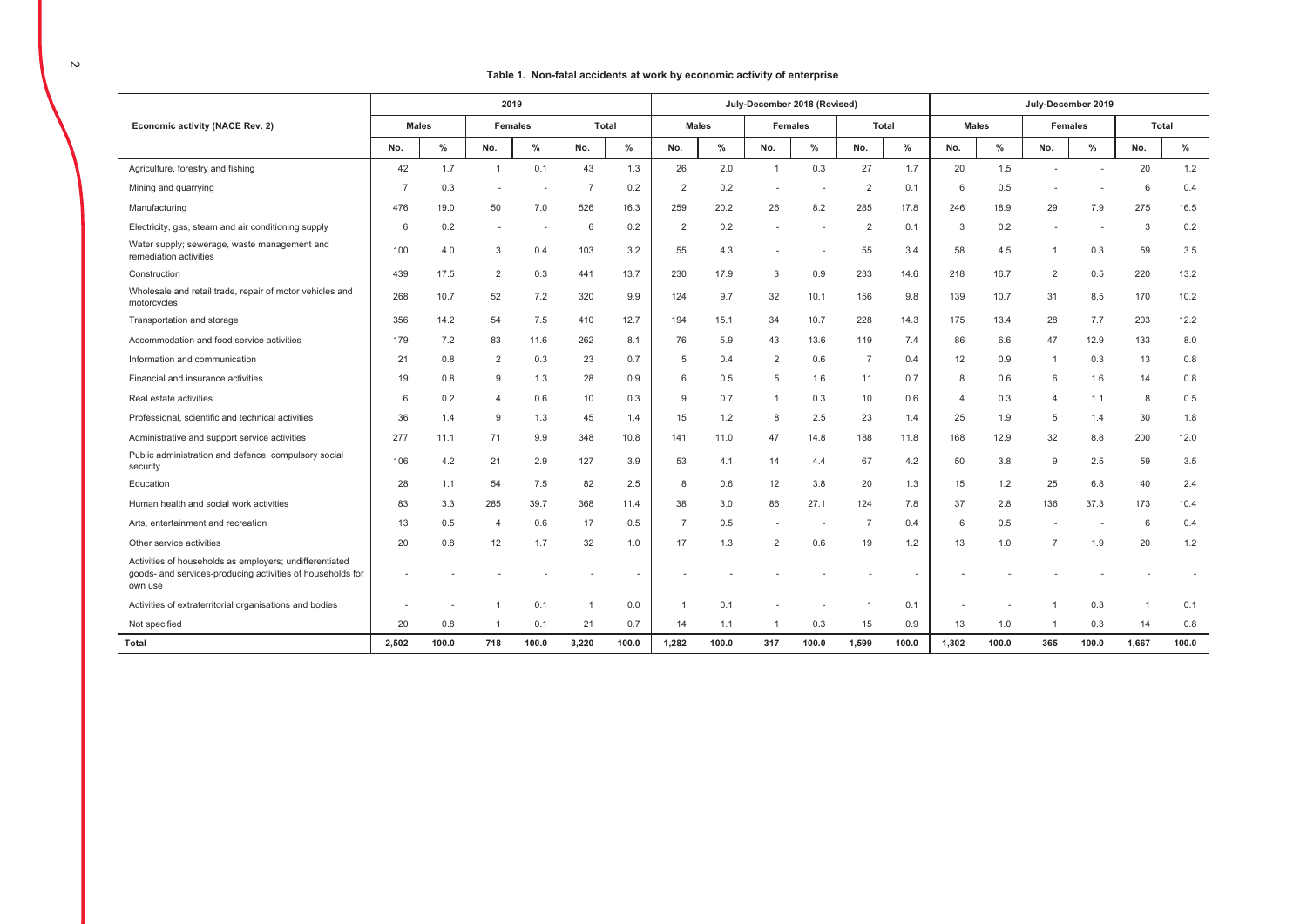#### $\sim$

#### Table 1. Non-fatal accidents at work by economic activity of enterprise

|                                                                                                                                  |                |       | 2019           |                |                |               |                |              | July-December 2018 (Revised) |                |                |               |                |              |                | July-December 2019 |              |       |
|----------------------------------------------------------------------------------------------------------------------------------|----------------|-------|----------------|----------------|----------------|---------------|----------------|--------------|------------------------------|----------------|----------------|---------------|----------------|--------------|----------------|--------------------|--------------|-------|
| Economic activity (NACE Rev. 2)                                                                                                  | <b>Males</b>   |       |                | <b>Females</b> |                | <b>Total</b>  |                | <b>Males</b> |                              | <b>Females</b> |                | Total         |                | <b>Males</b> |                | <b>Females</b>     |              | Total |
|                                                                                                                                  | No.            | $\%$  | No.            | %              | No.            | $\frac{0}{2}$ | No.            | $\%$         | No.                          | $\%$           | No.            | $\frac{0}{2}$ | No.            | $\%$         | No.            | $\frac{9}{6}$      | No.          | $\%$  |
| Agriculture, forestry and fishing                                                                                                | 42             | 1.7   | $\overline{1}$ | 0.1            | 43             | 1.3           | 26             | 2.0          | $\mathbf{1}$                 | 0.3            | 27             | 1.7           | 20             | 1.5          |                |                    | 20           | 1.2   |
| Mining and quarrying                                                                                                             | $\overline{7}$ | 0.3   |                |                | $\overline{7}$ | 0.2           | $\overline{2}$ | 0.2          |                              | ٠              | $\overline{2}$ | 0.1           | 6              | 0.5          |                |                    | 6            | 0.4   |
| Manufacturing                                                                                                                    | 476            | 19.0  | 50             | 7.0            | 526            | 16.3          | 259            | 20.2         | 26                           | 8.2            | 285            | 17.8          | 246            | 18.9         | 29             | 7.9                | 275          | 16.5  |
| Electricity, gas, steam and air conditioning supply                                                                              | 6              | 0.2   | $\sim$         |                | 6              | 0.2           | $\overline{2}$ | 0.2          |                              |                | $\overline{2}$ | 0.1           | 3              | 0.2          | ٠              |                    | 3            | 0.2   |
| Water supply; sewerage, waste management and<br>remediation activities                                                           | 100            | 4.0   | 3              | 0.4            | 103            | 3.2           | 55             | 4.3          |                              |                | 55             | 3.4           | 58             | 4.5          | $\mathbf{1}$   | 0.3                | 59           | 3.5   |
| Construction                                                                                                                     | 439            | 17.5  | 2              | 0.3            | 441            | 13.7          | 230            | 17.9         | 3                            | 0.9            | 233            | 14.6          | 218            | 16.7         | 2              | 0.5                | 220          | 13.2  |
| Wholesale and retail trade, repair of motor vehicles and<br>motorcycles                                                          | 268            | 10.7  | 52             | 7.2            | 320            | 9.9           | 124            | 9.7          | 32                           | 10.1           | 156            | 9.8           | 139            | 10.7         | 31             | 8.5                | 170          | 10.2  |
| Transportation and storage                                                                                                       | 356            | 14.2  | 54             | 7.5            | 410            | 12.7          | 194            | 15.1         | 34                           | 10.7           | 228            | 14.3          | 175            | 13.4         | 28             | 7.7                | 203          | 12.2  |
| Accommodation and food service activities                                                                                        | 179            | 7.2   | 83             | 11.6           | 262            | 8.1           | 76             | 5.9          | 43                           | 13.6           | 119            | 7.4           | 86             | 6.6          | 47             | 12.9               | 133          | 8.0   |
| Information and communication                                                                                                    | 21             | 0.8   | 2              | 0.3            | 23             | 0.7           | 5              | 0.4          | 2                            | 0.6            | $\overline{7}$ | 0.4           | 12             | 0.9          | $\overline{1}$ | 0.3                | 13           | 0.8   |
| Financial and insurance activities                                                                                               | 19             | 0.8   | 9              | 1.3            | 28             | 0.9           | 6              | 0.5          | 5                            | 1.6            | 11             | 0.7           | 8              | 0.6          | 6              | 1.6                | 14           | 0.8   |
| Real estate activities                                                                                                           | 6              | 0.2   | $\overline{4}$ | 0.6            | 10             | 0.3           | $\mathbf{Q}$   | 0.7          | $\mathbf{1}$                 | 0.3            | 10             | 0.6           | $\overline{4}$ | 0.3          | $\overline{4}$ | 1.1                | 8            | 0.5   |
| Professional, scientific and technical activities                                                                                | 36             | 1.4   | 9              | 1.3            | 45             | 1.4           | 15             | 1.2          | 8                            | 2.5            | 23             | 1.4           | 25             | 1.9          | 5              | 1.4                | 30           | 1.8   |
| Administrative and support service activities                                                                                    | 277            | 11.1  | 71             | 9.9            | 348            | 10.8          | 141            | 11.0         | 47                           | 14.8           | 188            | 11.8          | 168            | 12.9         | 32             | 8.8                | 200          | 12.0  |
| Public administration and defence; compulsory social<br>security                                                                 | 106            | 4.2   | 21             | 2.9            | 127            | 3.9           | 53             | 4.1          | 14                           | 4.4            | 67             | 4.2           | 50             | 3.8          | 9              | 2.5                | 59           | 3.5   |
| Education                                                                                                                        | 28             | 1.1   | 54             | 7.5            | 82             | 2.5           | 8              | 0.6          | 12                           | 3.8            | 20             | 1.3           | 15             | 1.2          | 25             | 6.8                | 40           | 2.4   |
| Human health and social work activities                                                                                          | 83             | 3.3   | 285            | 39.7           | 368            | 11.4          | 38             | 3.0          | 86                           | 27.1           | 124            | 7.8           | 37             | 2.8          | 136            | 37.3               | 173          | 10.4  |
| Arts, entertainment and recreation                                                                                               | 13             | 0.5   | $\overline{4}$ | 0.6            | 17             | 0.5           | $\overline{7}$ | 0.5          |                              |                | $\overline{7}$ | 0.4           | 6              | 0.5          |                |                    | 6            | 0.4   |
| Other service activities                                                                                                         | 20             | 0.8   | 12             | 1.7            | 32             | 1.0           | 17             | 1.3          | $\overline{2}$               | 0.6            | 19             | 1.2           | 13             | 1.0          | $\overline{7}$ | 1.9                | 20           | 1.2   |
| Activities of households as employers; undifferentiated<br>goods- and services-producing activities of households for<br>own use |                |       |                |                |                |               |                |              |                              |                |                |               |                |              |                |                    |              |       |
| Activities of extraterritorial organisations and bodies                                                                          |                |       |                | 0.1            | $\overline{1}$ | 0.0           |                | 0.1          |                              |                |                | 0.1           |                |              |                | 0.3                | $\mathbf{1}$ | 0.1   |
| Not specified                                                                                                                    | 20             | 0.8   | 1              | 0.1            | 21             | 0.7           | 14             | 1.1          |                              | 0.3            | 15             | 0.9           | 13             | 1.0          | $\overline{1}$ | 0.3                | 14           | 0.8   |
| <b>Total</b>                                                                                                                     | 2,502          | 100.0 | 718            | 100.0          | 3.220          | 100.0         | 1.282          | 100.0        | 317                          | 100.0          | 1.599          | 100.0         | 1.302          | 100.0        | 365            | 100.0              | 1.667        | 100.0 |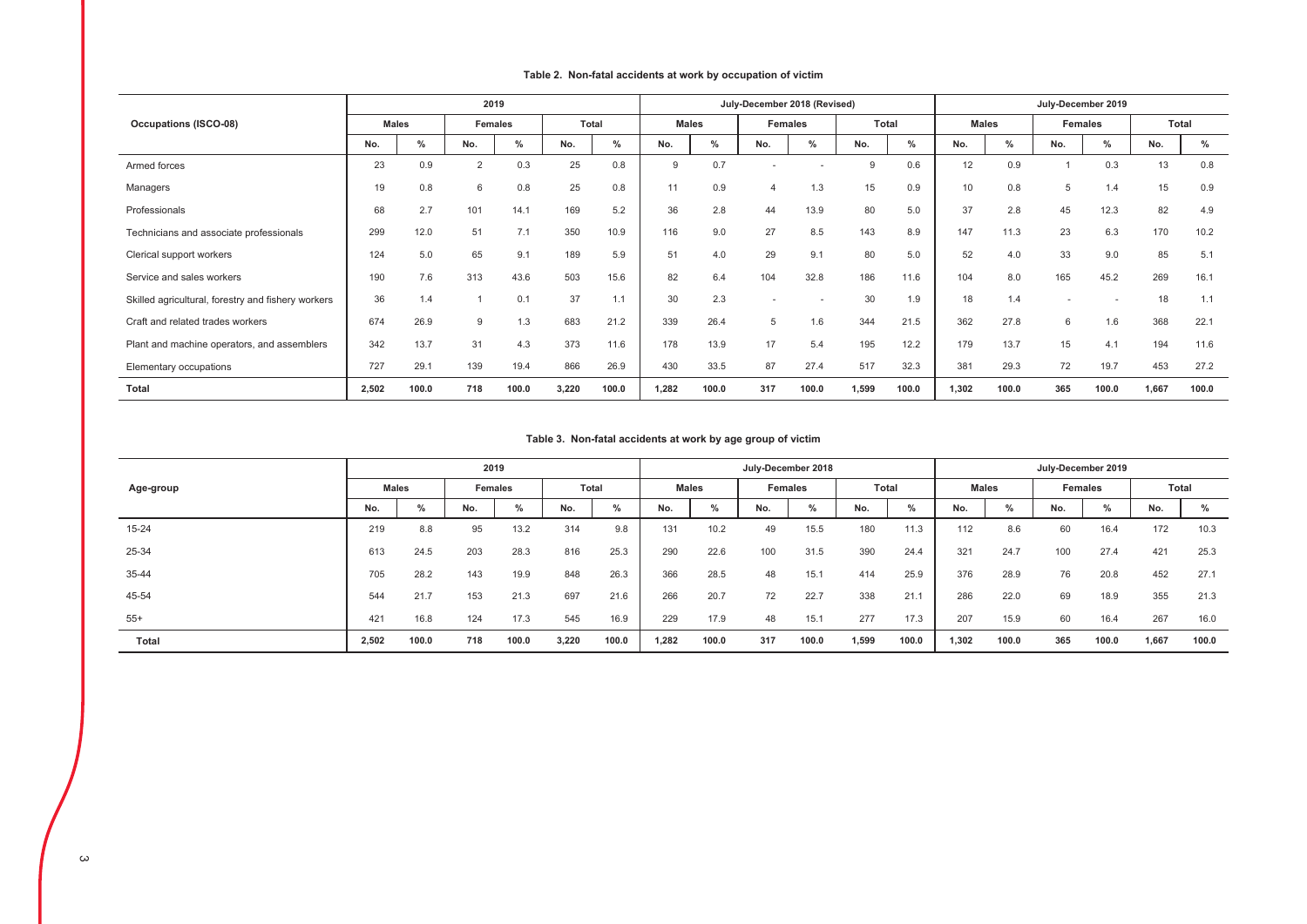|                                                    |              |       | 2019    |       |              |       |              |       | July-December 2018 (Revised) |       |              |               |              |       | July-December 2019 |       |       |       |
|----------------------------------------------------|--------------|-------|---------|-------|--------------|-------|--------------|-------|------------------------------|-------|--------------|---------------|--------------|-------|--------------------|-------|-------|-------|
| <b>Occupations (ISCO-08)</b>                       | <b>Males</b> |       | Females |       | <b>Total</b> |       | <b>Males</b> |       | Females                      |       | <b>Total</b> |               | <b>Males</b> |       | Females            |       | Total |       |
|                                                    | No.          | %     | No.     | $\%$  | No.          | %     | No.          | $\%$  | No.                          | $\%$  | No.          | $\frac{0}{0}$ | No.          | $\%$  | No.                | $\%$  | No.   | $\%$  |
| Armed forces                                       | 23           | 0.9   | 2       | 0.3   | 25           | 0.8   | 9            | 0.7   |                              |       | 9            | 0.6           | 12           | 0.9   |                    | 0.3   | 13    | 0.8   |
| Managers                                           | 19           | 0.8   | 6       | 0.8   | 25           | 0.8   | 11           | 0.9   | $\overline{4}$               | 1.3   | 15           | 0.9           | 10           | 0.8   | 5                  | 1.4   | 15    | 0.9   |
| Professionals                                      | 68           | 2.7   | 101     | 14.1  | 169          | 5.2   | 36           | 2.8   | 44                           | 13.9  | 80           | 5.0           | 37           | 2.8   | 45                 | 12.3  | 82    | 4.9   |
| Technicians and associate professionals            | 299          | 12.0  | 51      | 7.1   | 350          | 10.9  | 116          | 9.0   | 27                           | 8.5   | 143          | 8.9           | 147          | 11.3  | 23                 | 6.3   | 170   | 10.2  |
| Clerical support workers                           | 124          | 5.0   | 65      | 9.1   | 189          | 5.9   | 51           | 4.0   | 29                           | 9.1   | 80           | 5.0           | 52           | 4.0   | 33                 | 9.0   | 85    | 5.1   |
| Service and sales workers                          | 190          | 7.6   | 313     | 43.6  | 503          | 15.6  | 82           | 6.4   | 104                          | 32.8  | 186          | 11.6          | 104          | 8.0   | 165                | 45.2  | 269   | 16.1  |
| Skilled agricultural, forestry and fishery workers | 36           | 1.4   |         | 0.1   | 37           | 1.1   | 30           | 2.3   |                              |       | 30           | 1.9           | 18           | 1.4   |                    |       | 18    | 1.1   |
| Craft and related trades workers                   | 674          | 26.9  | 9       | 1.3   | 683          | 21.2  | 339          | 26.4  | 5                            | 1.6   | 344          | 21.5          | 362          | 27.8  | 6                  | 1.6   | 368   | 22.1  |
| Plant and machine operators, and assemblers        | 342          | 13.7  | 31      | 4.3   | 373          | 11.6  | 178          | 13.9  | 17                           | 5.4   | 195          | 12.2          | 179          | 13.7  | 15                 | 4.1   | 194   | 11.6  |
| Elementary occupations                             | 727          | 29.1  | 139     | 19.4  | 866          | 26.9  | 430          | 33.5  | 87                           | 27.4  | 517          | 32.3          | 381          | 29.3  | 72                 | 19.7  | 453   | 27.2  |
| <b>Total</b>                                       | 2,502        | 100.0 | 718     | 100.0 | 3,220        | 100.0 | 1.282        | 100.0 | 317                          | 100.0 | 1,599        | 100.0         | 1.302        | 100.0 | 365                | 100.0 | 1,667 | 100.0 |

#### Table 2. Non-fatal accidents at work by occupation of victim

### Table 3. Non-fatal accidents at work by age group of victim

|           |              |       | 2019           |                |              |               |       |              | July-December 2018 |       |       |       |       |              |     | July-December 2019 |       |       |
|-----------|--------------|-------|----------------|----------------|--------------|---------------|-------|--------------|--------------------|-------|-------|-------|-------|--------------|-----|--------------------|-------|-------|
| Age-group | <b>Males</b> |       | <b>Females</b> |                | <b>Total</b> |               |       | <b>Males</b> | Females            |       | Total |       |       | <b>Males</b> |     | <b>Females</b>     |       | Total |
|           | No.          | $\%$  | No.            | $\Omega$<br>70 | No.          | $\frac{0}{0}$ | No.   | %            | No.                | $\%$  | No.   | $\%$  | No.   | $\%$         | No. | $\frac{0}{0}$      | No.   | $\%$  |
| 15-24     | 219          | 8.8   | 95             | 13.2           | 314          | 9.8           | 131   | 10.2         | 49                 | 15.5  | 180   | 11.3  | 112   | 8.6          | 60  | 16.4               | 172   | 10.3  |
| 25-34     | 613          | 24.5  | 203            | 28.3           | 816          | 25.3          | 290   | 22.6         | 100                | 31.5  | 390   | 24.4  | 321   | 24.7         | 100 | 27.4               | 421   | 25.3  |
| 35-44     | 705          | 28.2  | 143            | 19.9           | 848          | 26.3          | 366   | 28.5         | 48                 | 15.1  | 414   | 25.9  | 376   | 28.9         | 76  | 20.8               | 452   | 27.1  |
| 45-54     | 544          | 21.7  | 153            | 21.3           | 697          | 21.6          | 266   | 20.7         | 72                 | 22.7  | 338   | 21.1  | 286   | 22.0         | 69  | 18.9               | 355   | 21.3  |
| $55+$     | 421          | 16.8  | 124            | 17.3           | 545          | 16.9          | 229   | 17.9         | 48                 | 15.1  | 277   | 17.3  | 207   | 15.9         | 60  | 16.4               | 267   | 16.0  |
| Total     | 2,502        | 100.0 | 718            | 100.0          | 3,220        | 100.0         | 1,282 | 100.0        | 317                | 100.0 | 1,599 | 100.0 | 1.302 | 100.0        | 365 | 100.0              | 1,667 | 100.0 |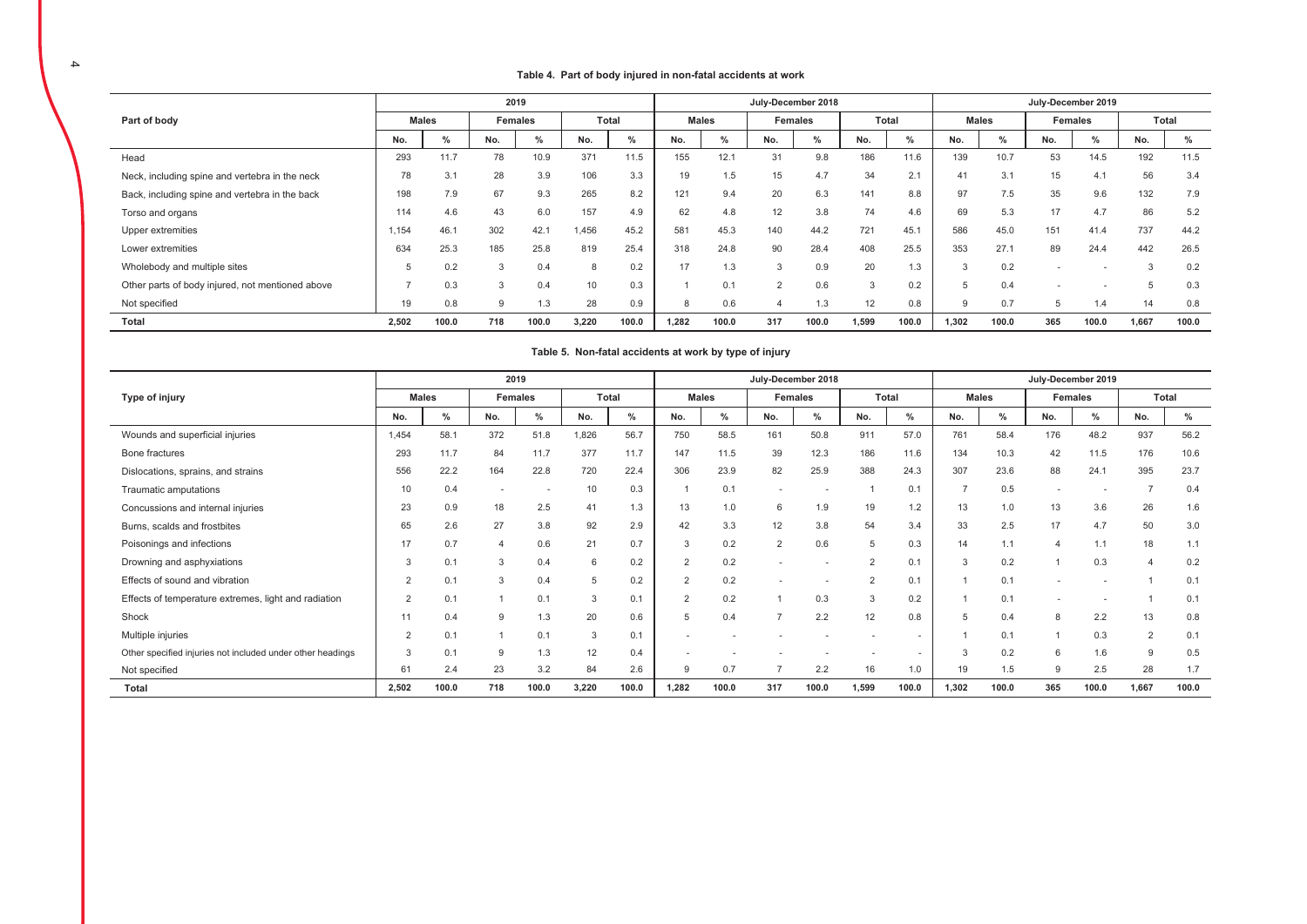#### Table 4. Part of body injured in non-fatal accidents at work

|                                                  |       |              |     | 2019    |       |               |       |              |                | July-December 2018 |       |       |       |               |     | July-December 2019 |             |       |
|--------------------------------------------------|-------|--------------|-----|---------|-------|---------------|-------|--------------|----------------|--------------------|-------|-------|-------|---------------|-----|--------------------|-------------|-------|
| Part of body                                     |       | <b>Males</b> |     | Females |       | Total         |       | <b>Males</b> |                | <b>Females</b>     |       | Total |       | <b>Males</b>  |     | Females            |             | Total |
|                                                  | No.   | $\%$         | No. | %       | No.   | $\frac{0}{0}$ | No.   | %            | No.            | $\%$               | No.   | $\%$  | No.   | $\frac{0}{2}$ | No. | %                  | No.         | %     |
| Head                                             | 293   | 11.7         | 78  | 10.9    | 371   | 11.5          | 155   | 12.1         | 31             | 9.8                | 186   | 11.6  | 139   | 10.7          | 53  | 14.5               | 192         | 11.5  |
| Neck, including spine and vertebra in the neck   | 78    | 3.1          | 28  | 3.9     | 106   | 3.3           | 19    | 1.5          | 15             | 4.7                | 34    | 2.1   | 41    | 3.1           | 15  | 4.1                | 56          | 3.4   |
| Back, including spine and vertebra in the back   | 198   | 7.9          | 67  | 9.3     | 265   | 8.2           | 121   | 9.4          | 20             | 6.3                | 141   | 8.8   | 97    | 7.5           | 35  | 9.6                | 132         | 7.9   |
| Torso and organs                                 | 114   | 4.6          | 43  | 6.0     | 157   | 4.9           | 62    | 4.8          | 12             | 3.8                | 74    | 4.6   | 69    | 5.3           | 17  | 4.7                | 86          | 5.2   |
| Upper extremities                                | 1.154 | 46.1         | 302 | 42.7    | 1.456 | 45.2          | 581   | 45.3         | 140            | 44.2               | 721   | 45.1  | 586   | 45.0          | 151 | 41.4               | 737         | 44.2  |
| Lower extremities                                | 634   | 25.3         | 185 | 25.8    | 819   | 25.4          | 318   | 24.8         | 90             | 28.4               | 408   | 25.5  | 353   | 27.1          | 89  | 24.4               | 442         | 26.5  |
| Wholebody and multiple sites                     | 5     | 0.2          | 3   | 0.4     | 8     | 0.2           | 17    | 1.3          | 3              | 0.9                | 20    | 1.3   |       | 0.2           |     |                    | 3           | 0.2   |
| Other parts of body injured, not mentioned above | ь,    | 0.3          | 3   | 0.4     | 10    | 0.3           |       | 0.1          | $\overline{2}$ | 0.6                | 3     | 0.2   | 5     | 0.4           |     |                    | $\mathbf b$ | 0.3   |
| Not specified                                    | 19    | 0.8          | 9   | 1.3     | 28    | 0.9           | 8     | 0.6          | 4              | 1.3                | 12    | 0.8   | g     | 0.7           | .b  | 1.4                | 14          | 0.8   |
| Total                                            | 2,502 | 100.0        | 718 | 100.0   | 3,220 | 100.0         | 1,282 | 100.0        | 317            | 100.0              | 1,599 | 100.0 | 1,302 | 100.0         | 365 | 100.0              | 1,667       | 100.0 |

### Table 5. Non-fatal accidents at work by type of injury

|                                                            |                |              |                | 2019           |       |       |                |              | July-December 2018 |               |                |                          |       |               |     | July-December 2019 |                |       |
|------------------------------------------------------------|----------------|--------------|----------------|----------------|-------|-------|----------------|--------------|--------------------|---------------|----------------|--------------------------|-------|---------------|-----|--------------------|----------------|-------|
| Type of injury                                             |                | <b>Males</b> |                | <b>Females</b> |       | Total |                | <b>Males</b> |                    | Females       |                | Total                    |       | <b>Males</b>  |     | Females            |                | Total |
|                                                            | No.            | ℅            | No.            | $\%$           | No.   | $\%$  | No.            | ℅            | No.                | $\frac{0}{2}$ | No.            | %                        | No.   | $\frac{9}{6}$ | No. | ℅                  | No.            | ℅     |
| Wounds and superficial injuries                            | 1,454          | 58.1         | 372            | 51.8           | 1,826 | 56.7  | 750            | 58.5         | 161                | 50.8          | 911            | 57.0                     | 761   | 58.4          | 176 | 48.2               | 937            | 56.2  |
| Bone fractures                                             | 293            | 11.7         | 84             | 11.7           | 377   | 11.7  | 147            | 11.5         | 39                 | 12.3          | 186            | 11.6                     | 134   | 10.3          | 42  | 11.5               | 176            | 10.6  |
| Dislocations, sprains, and strains                         | 556            | 22.2         | 164            | 22.8           | 720   | 22.4  | 306            | 23.9         | 82                 | 25.9          | 388            | 24.3                     | 307   | 23.6          | 88  | 24.1               | 395            | 23.7  |
| Traumatic amputations                                      | 10             | 0.4          |                | ٠              | 10    | 0.3   |                | 0.1          |                    | ٠.            |                | 0.1                      |       | 0.5           |     |                    | $\overline{7}$ | 0.4   |
| Concussions and internal injuries                          | 23             | 0.9          | 18             | 2.5            | 41    | 1.3   | 13             | 1.0          | 6                  | 1.9           | 19             | 1.2                      | 13    | 1.0           | 13  | 3.6                | 26             | 1.6   |
| Burns, scalds and frostbites                               | 65             | 2.6          | 27             | 3.8            | 92    | 2.9   | 42             | 3.3          | 12                 | 3.8           | 54             | 3.4                      | 33    | 2.5           | 17  | 4.7                | 50             | 3.0   |
| Poisonings and infections                                  | 17             | 0.7          | $\overline{4}$ | 0.6            | 21    | 0.7   | 3              | 0.2          | 2                  | 0.6           | 5              | 0.3                      | 14    | 1.1           | 4   | 1.1                | 18             | 1.1   |
| Drowning and asphyxiations                                 | 3              | 0.1          | 3              | 0.4            | 6     | 0.2   | $\overline{2}$ | 0.2          |                    | ٠.            | $\overline{2}$ | 0.1                      | 3     | 0.2           |     | 0.3                | $\overline{4}$ | 0.2   |
| Effects of sound and vibration                             | 2              | 0.1          | 3              | 0.4            | 5     | 0.2   | $\overline{2}$ | 0.2          |                    | ٠.            | $\Omega$       | 0.1                      |       | 0.1           |     | ٠.                 |                | 0.1   |
| Effects of temperature extremes, light and radiation       | $\overline{2}$ | 0.1          |                | 0.1            | 3     | 0.2   | $\overline{2}$ | 0.2          |                    | 0.3           | 3              | 0.2                      |       | 0.1           | ۰   |                    |                | 0.1   |
| Shock                                                      | 11             | 0.4          | 9              | 1.3            | 20    | 0.6   | 5              | 0.4          |                    | 2.2           | 12             | 0.8                      | 5     | 0.4           | 8   | 2.2                | 13             | 0.8   |
| Multiple injuries                                          | 2              | 0.1          |                | 0.1            | 3     | 0.1   |                |              |                    |               |                | ٠                        |       | 0.1           |     | 0.3                | 2              | 0.1   |
| Other specified injuries not included under other headings | 3              | 0.1          | 9              | 1.3            | 12    | 0.4   |                |              |                    |               |                | $\overline{\phantom{a}}$ | 3     | 0.2           | 6   | 1.6                | 9              | 0.5   |
| Not specified                                              | 61             | 2.4          | 23             | 3.2            | 84    | 2.6   | 9              | 0.7          |                    | 2.2           | 16             | 1.0                      | 19    | 1.5           | 9   | 2.5                | 28             | 1.7   |
| <b>Total</b>                                               | 2.502          | 100.0        | 718            | 100.0          | 3,220 | 100.0 | 1,282          | 100.0        | 317                | 100.0         | 1.599          | 100.0                    | 1,302 | 100.0         | 365 | 100.0              | 1,667          | 100.0 |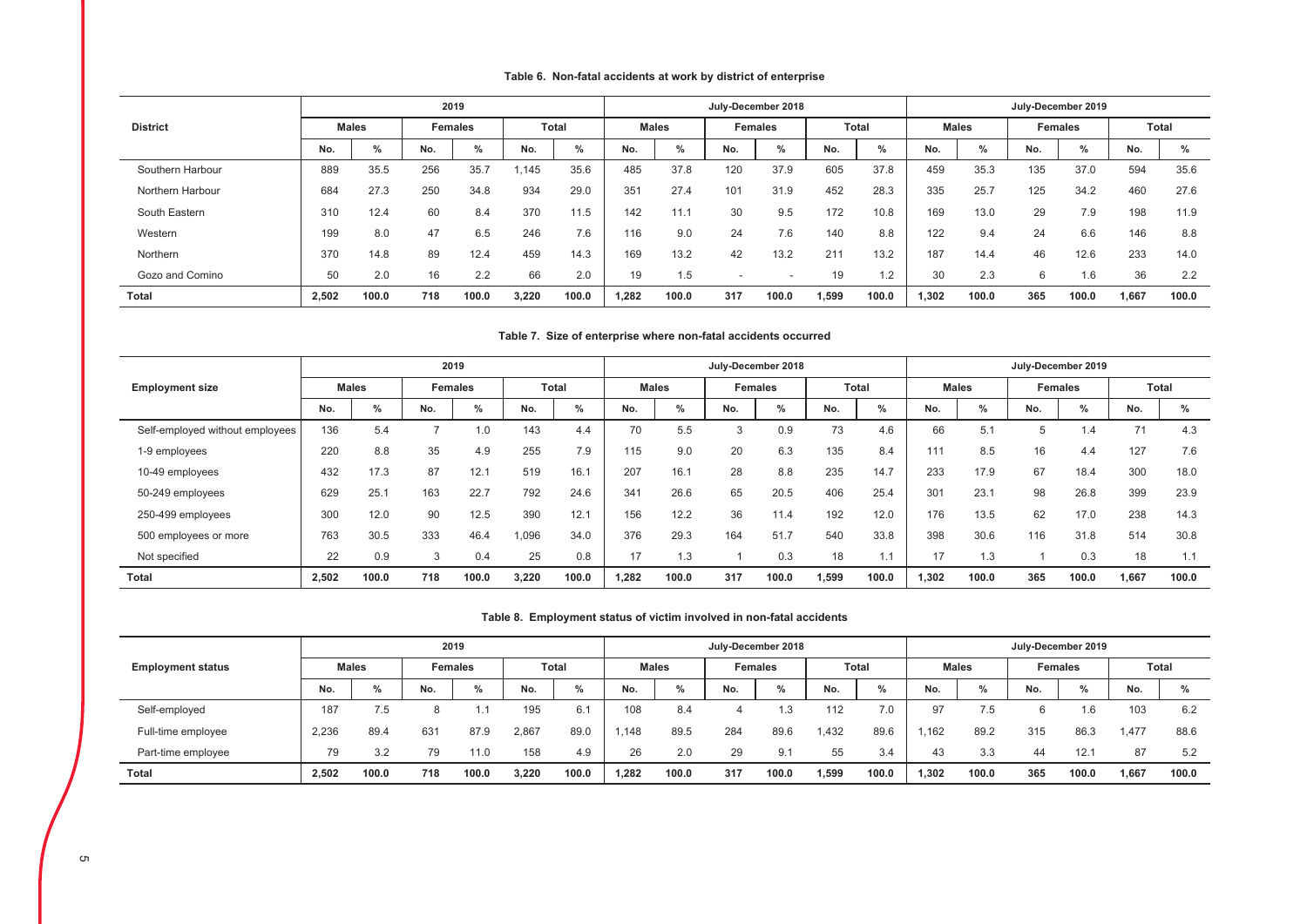# Table 6. Non-fatal accidents at work by district of enterprise

|                  |       |               |     | 2019           |       |               |       |              |                          | July-December 2018 |       |              |       |               |     | July-December 2019 |       |              |
|------------------|-------|---------------|-----|----------------|-------|---------------|-------|--------------|--------------------------|--------------------|-------|--------------|-------|---------------|-----|--------------------|-------|--------------|
| <b>District</b>  |       | <b>Males</b>  |     | <b>Females</b> |       | <b>Total</b>  |       | <b>Males</b> |                          | <b>Females</b>     |       | <b>Total</b> |       | <b>Males</b>  |     | <b>Females</b>     |       | <b>Total</b> |
|                  | No.   | $\frac{0}{0}$ | No. | $\%$           | No.   | $\frac{0}{0}$ | No.   | $\%$         | No.                      | %                  | No.   | %            | No.   | $\frac{0}{2}$ | No. | %                  | No.   | %            |
| Southern Harbour | 889   | 35.5          | 256 | 35.7           | 145   | 35.6          | 485   | 37.8         | 120                      | 37.9               | 605   | 37.8         | 459   | 35.3          | 135 | 37.0               | 594   | 35.6         |
| Northern Harbour | 684   | 27.3          | 250 | 34.8           | 934   | 29.0          | 351   | 27.4         | 101                      | 31.9               | 452   | 28.3         | 335   | 25.7          | 125 | 34.2               | 460   | 27.6         |
| South Eastern    | 310   | 12.4          | 60  | 8.4            | 370   | 11.5          | 142   | 11.1         | 30                       | 9.5                | 172   | 10.8         | 169   | 13.0          | 29  | 7.9                | 198   | 11.9         |
| Western          | 199   | 8.0           | 47  | 6.5            | 246   | 7.6           | 116   | 9.0          | 24                       | 7.6                | 140   | 8.8          | 122   | 9.4           | 24  | 6.6                | 146   | 8.8          |
| Northern         | 370   | 14.8          | 89  | 12.4           | 459   | 14.3          | 169   | 13.2         | 42                       | 13.2               | 211   | 13.2         | 187   | 14.4          | 46  | 12.6               | 233   | 14.0         |
| Gozo and Comino  | 50    | 2.0           | 16  | 2.2            | 66    | 2.0           | 19    | 1.5          | $\overline{\phantom{a}}$ |                    | 19    | 1.2          | 30    | 2.3           | 6   | 1.6                | 36    | 2.2          |
| <b>Total</b>     | 2.502 | 100.0         | 718 | 100.0          | 3,220 | 100.0         | 1.282 | 100.0        | 317                      | 100.0              | 1,599 | 100.0        | 1,302 | 100.0         | 365 | 100.0              | 1,667 | 100.0        |

#### Table 7. Size of enterprise where non-fatal accidents occurred

|                                 |       |              |     | 2019           |       |              |       |              |     | July-December 2018 |       |       |       |              |     | July-December 2019 |       |              |
|---------------------------------|-------|--------------|-----|----------------|-------|--------------|-------|--------------|-----|--------------------|-------|-------|-------|--------------|-----|--------------------|-------|--------------|
| <b>Employment size</b>          |       | <b>Males</b> |     | <b>Females</b> |       | <b>Total</b> |       | <b>Males</b> |     | <b>Females</b>     |       | Total |       | <b>Males</b> |     | <b>Females</b>     |       | <b>Total</b> |
|                                 | No.   | %            | No. | %              | No.   | $\%$         | No.   | $\%$         | No. | %                  | No.   | %     | No.   | $\%$         | No. | %                  | No.   | %            |
| Self-employed without employees | 136   | 5.4          |     | 1.0            | 143   | 4.4          | 70    | 5.5          | 3   | 0.9                | 73    | 4.6   | 66    | 5.1          | h.  | 1.4                | 71    | 4.3          |
| 1-9 employees                   | 220   | 8.8          | 35  | 4.9            | 255   | 7.9          | 115   | 9.0          | 20  | 6.3                | 135   | 8.4   | 111   | 8.5          | 16  | 4.4                | 127   | 7.6          |
| 10-49 employees                 | 432   | 17.3         | 87  | 12.1           | 519   | 16.1         | 207   | 16.1         | 28  | 8.8                | 235   | 14.7  | 233   | 17.9         | 67  | 18.4               | 300   | 18.0         |
| 50-249 employees                | 629   | 25.7         | 163 | 22.7           | 792   | 24.6         | 341   | 26.6         | 65  | 20.5               | 406   | 25.4  | 301   | 23.1         | 98  | 26.8               | 399   | 23.9         |
| 250-499 employees               | 300   | 12.0         | 90  | 12.5           | 390   | 12.1         | 156   | 12.2         | 36  | 11.4               | 192   | 12.0  | 176   | 13.5         | 62  | 17.0               | 238   | 14.3         |
| 500 employees or more           | 763   | 30.5         | 333 | 46.4           | .096  | 34.0         | 376   | 29.3         | 164 | 51.7               | 540   | 33.8  | 398   | 30.6         | 116 | 31.8               | 514   | 30.8         |
| Not specified                   | 22    | 0.9          | 3   | 0.4            | 25    | 0.8          | 17    | 1.3          |     | 0.3                | 18    | 1.1   | 17    | 1.3          |     | 0.3                | 18    | 1.1          |
| Total                           | 2,502 | 100.0        | 718 | 100.0          | 3,220 | 100.0        | 1.282 | 100.0        | 317 | 100.0              | 1,599 | 100.0 | 1,302 | 100.0        | 365 | 100.0              | 1,667 | 100.0        |

#### Table 8. Employment status of victim involved in non-fatal accidents

|                          |       |               |     | 2019    |       |               |       |              | July-December 2018 |                |       |              |       |              | July-December 2019 |                |       |               |
|--------------------------|-------|---------------|-----|---------|-------|---------------|-------|--------------|--------------------|----------------|-------|--------------|-------|--------------|--------------------|----------------|-------|---------------|
| <b>Employment status</b> |       | <b>Males</b>  |     | Females |       | <b>Total</b>  |       | <b>Males</b> |                    | <b>Females</b> |       | <b>Total</b> |       | <b>Males</b> |                    | <b>Females</b> |       | Total         |
|                          | No.   | $\frac{0}{0}$ | No. | $\%$    | No.   | $\frac{0}{0}$ | No.   | %            | No.                | $\%$           | No.   | $\%$         | No.   | $\%$         | No.                | $\%$           | No.   | $\frac{0}{0}$ |
| Self-employed            | 187   | 7.5           |     |         | 195   | 6.1           | 108   | 8.4          |                    | ن ۱            | 112   |              | 97    | 7.5          |                    | . 6            | 103   | 6.2           |
| Full-time employee       | 2,236 | 89.4          | 631 | 87.9    | 2,867 | 89.0          | .148  | 89.5         | 284                | 89.6           | 1.432 | 89.6         | .162  | 89.2         | 315                | 86.3           | 1.477 | 88.6          |
| Part-time employee       | 79    | 3.2           | 79  | 11.0    | 158   | 4.9           | 26    | 2.0          | 29                 | 9.1            | 55    | 3.4          | 43    | 3.3          | 44                 | 12.1           | 87    | 5.2           |
| <b>Total</b>             | 2,502 | 100.0         | 718 | 100.0   | 3.220 | 100.0         | 1.282 | 100.0        | 317                | 100.0          | 1.599 | 100.0        | 1,302 | 100.0        | 365                | 100.0          | 1.667 | 100.0         |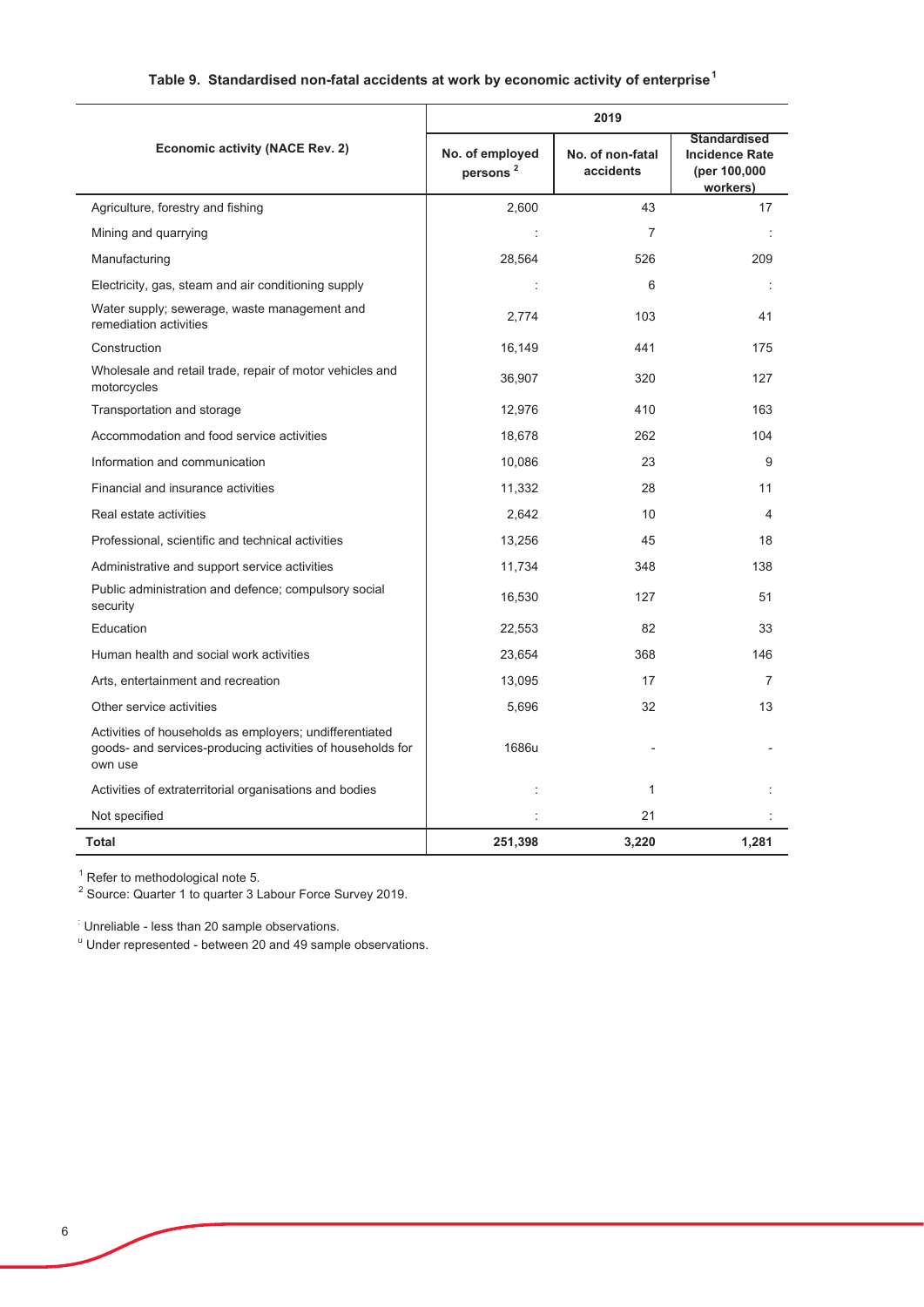# Table 9. Standardised non-fatal accidents at work by economic activity of enterprise<sup>1</sup>

|                                                                                                                                  |                                         | 2019                          |                                                                          |
|----------------------------------------------------------------------------------------------------------------------------------|-----------------------------------------|-------------------------------|--------------------------------------------------------------------------|
| <b>Economic activity (NACE Rev. 2)</b>                                                                                           | No. of employed<br>persons <sup>2</sup> | No. of non-fatal<br>accidents | <b>Standardised</b><br><b>Incidence Rate</b><br>(per 100,000<br>workers) |
| Agriculture, forestry and fishing                                                                                                | 2,600                                   | 43                            | 17                                                                       |
| Mining and quarrying                                                                                                             |                                         | 7                             |                                                                          |
| Manufacturing                                                                                                                    | 28,564                                  | 526                           | 209                                                                      |
| Electricity, gas, steam and air conditioning supply                                                                              |                                         | 6                             |                                                                          |
| Water supply; sewerage, waste management and<br>remediation activities                                                           | 2,774                                   | 103                           | 41                                                                       |
| Construction                                                                                                                     | 16,149                                  | 441                           | 175                                                                      |
| Wholesale and retail trade, repair of motor vehicles and<br>motorcycles                                                          | 36,907                                  | 320                           | 127                                                                      |
| Transportation and storage                                                                                                       | 12,976                                  | 410                           | 163                                                                      |
| Accommodation and food service activities                                                                                        | 18,678                                  | 262                           | 104                                                                      |
| Information and communication                                                                                                    | 10,086                                  | 23                            | 9                                                                        |
| Financial and insurance activities                                                                                               | 11,332                                  | 28                            | 11                                                                       |
| Real estate activities                                                                                                           | 2,642                                   | 10                            | 4                                                                        |
| Professional, scientific and technical activities                                                                                | 13,256                                  | 45                            | 18                                                                       |
| Administrative and support service activities                                                                                    | 11,734                                  | 348                           | 138                                                                      |
| Public administration and defence; compulsory social<br>security                                                                 | 16,530                                  | 127                           | 51                                                                       |
| Education                                                                                                                        | 22,553                                  | 82                            | 33                                                                       |
| Human health and social work activities                                                                                          | 23,654                                  | 368                           | 146                                                                      |
| Arts, entertainment and recreation                                                                                               | 13,095                                  | 17                            | 7                                                                        |
| Other service activities                                                                                                         | 5,696                                   | 32                            | 13                                                                       |
| Activities of households as employers; undifferentiated<br>goods- and services-producing activities of households for<br>own use | 1686u                                   |                               |                                                                          |
| Activities of extraterritorial organisations and bodies                                                                          |                                         | 1                             |                                                                          |
| Not specified                                                                                                                    |                                         | 21                            |                                                                          |
| <b>Total</b>                                                                                                                     | 251,398                                 | 3,220                         | 1,281                                                                    |

<sup>1</sup> Refer to methodological note 5.<br><sup>2</sup> Source: Quarter 1 to quarter 3 Labour Force Survey 2019.

Unreliable - less than 20 sample observations.

" Under represented - between 20 and 49 sample observations.